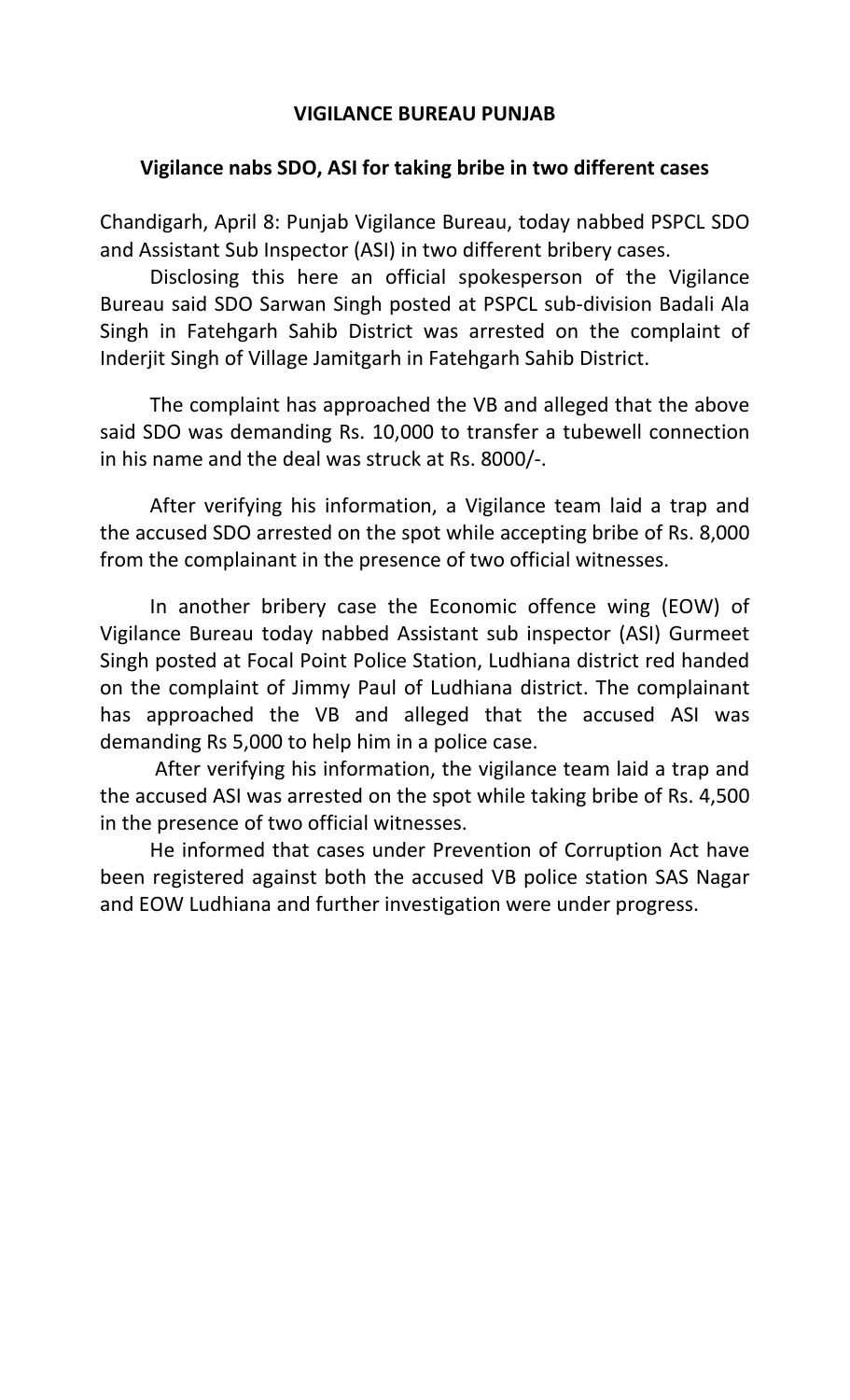## **VIGILANCE BUREAU PUNJAB**

## **Vigilance nabs SDO, ASI for taking bribe in two different cases**

Chandigarh, April 8: Punjab Vigilance Bureau, today nabbed PSPCL SDO and Assistant Sub Inspector (ASI) in two different bribery cases.

Disclosing this here an official spokesperson of the Vigilance Bureau said SDO Sarwan Singh posted at PSPCL sub-division Badali Ala Singh in Fatehgarh Sahib District was arrested on the complaint of Inderjit Singh of Village Jamitgarh in Fatehgarh Sahib District.

The complaint has approached the VB and alleged that the above said SDO was demanding Rs. 10,000 to transfer a tubewell connection in his name and the deal was struck at Rs. 8000/-.

After verifying his information, a Vigilance team laid a trap and the accused SDO arrested on the spot while accepting bribe of Rs. 8,000 from the complainant in the presence of two official witnesses.

In another bribery case the Economic offence wing (EOW) of Vigilance Bureau today nabbed Assistant sub inspector (ASI) Gurmeet Singh posted at Focal Point Police Station, Ludhiana district red handed on the complaint of Jimmy Paul of Ludhiana district. The complainant has approached the VB and alleged that the accused ASI was demanding Rs 5,000 to help him in a police case.

 After verifying his information, the vigilance team laid a trap and the accused ASI was arrested on the spot while taking bribe of Rs. 4,500 in the presence of two official witnesses.

 He informed that cases under Prevention of Corruption Act have been registered against both the accused VB police station SAS Nagar and EOW Ludhiana and further investigation were under progress.